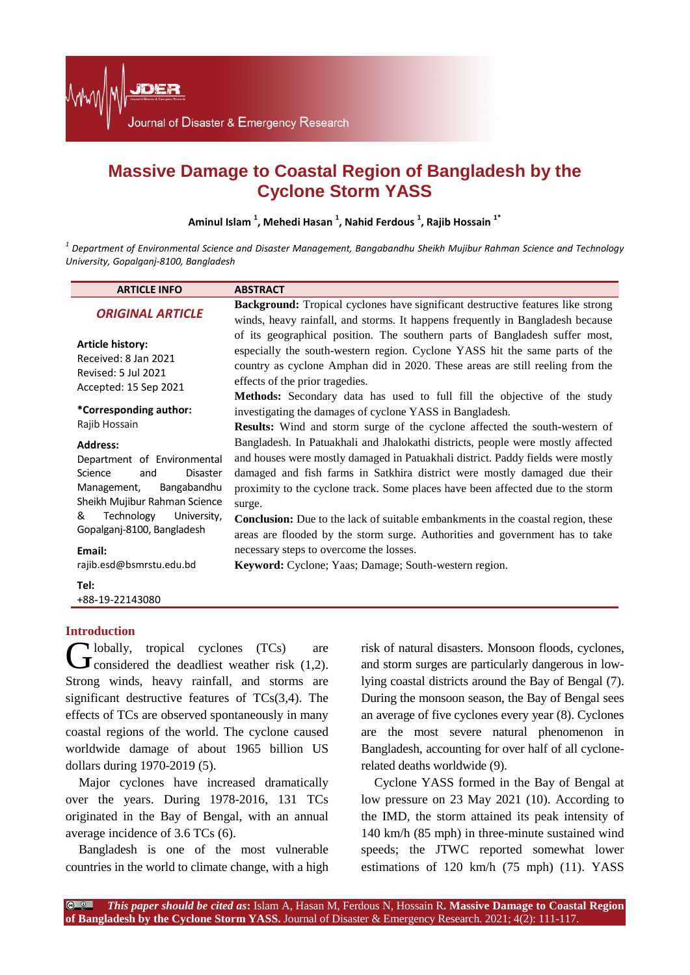

# **Massive Damage to Coastal Region of Bangladesh by the Cyclone Storm YASS**

**Aminul Islam <sup>1</sup> , Mehedi Hasan <sup>1</sup> , Nahid Ferdous <sup>1</sup> , Rajib Hossain 1\***

*<sup>1</sup> Department of Environmental Science and Disaster Management, Bangabandhu Sheikh Mujibur Rahman Science and Technology University, Gopalganj-8100, Bangladesh*

| <b>ARTICLE INFO</b>                                                                                                                                                                                                                               | <b>ABSTRACT</b>                                                                                                                                                                                                                                                                                                                                                                                                                                                                                                                                                                                                             |
|---------------------------------------------------------------------------------------------------------------------------------------------------------------------------------------------------------------------------------------------------|-----------------------------------------------------------------------------------------------------------------------------------------------------------------------------------------------------------------------------------------------------------------------------------------------------------------------------------------------------------------------------------------------------------------------------------------------------------------------------------------------------------------------------------------------------------------------------------------------------------------------------|
| <b>ORIGINAL ARTICLE</b>                                                                                                                                                                                                                           | <b>Background:</b> Tropical cyclones have significant destructive features like strong<br>winds, heavy rainfall, and storms. It happens frequently in Bangladesh because                                                                                                                                                                                                                                                                                                                                                                                                                                                    |
| <b>Article history:</b><br>Received: 8 Jan 2021<br>Revised: 5 Jul 2021<br>Accepted: 15 Sep 2021                                                                                                                                                   | of its geographical position. The southern parts of Bangladesh suffer most,<br>especially the south-western region. Cyclone YASS hit the same parts of the<br>country as cyclone Amphan did in 2020. These areas are still reeling from the<br>effects of the prior tragedies.<br><b>Methods:</b> Secondary data has used to full fill the objective of the study                                                                                                                                                                                                                                                           |
| *Corresponding author:<br>Rajib Hossain                                                                                                                                                                                                           | investigating the damages of cyclone YASS in Bangladesh.<br><b>Results:</b> Wind and storm surge of the cyclone affected the south-western of                                                                                                                                                                                                                                                                                                                                                                                                                                                                               |
| <b>Address:</b><br>Department of Environmental<br>Science<br>Disaster<br>and<br>Management,<br>Bangabandhu<br>Sheikh Mujibur Rahman Science<br>&<br>Technology<br>University,<br>Gopalganj-8100, Bangladesh<br>Email:<br>rajib.esd@bsmrstu.edu.bd | Bangladesh. In Patuakhali and Jhalokathi districts, people were mostly affected<br>and houses were mostly damaged in Patuakhali district. Paddy fields were mostly<br>damaged and fish farms in Satkhira district were mostly damaged due their<br>proximity to the cyclone track. Some places have been affected due to the storm<br>surge.<br><b>Conclusion:</b> Due to the lack of suitable embankments in the coastal region, these<br>areas are flooded by the storm surge. Authorities and government has to take<br>necessary steps to overcome the losses.<br>Keyword: Cyclone; Yaas; Damage; South-western region. |
| Tel:<br>+88-19-22143080                                                                                                                                                                                                                           |                                                                                                                                                                                                                                                                                                                                                                                                                                                                                                                                                                                                                             |
|                                                                                                                                                                                                                                                   |                                                                                                                                                                                                                                                                                                                                                                                                                                                                                                                                                                                                                             |

# **Introduction**

lobally, tropical cyclones (TCs) are **C** lobally, tropical cyclones (TCs) are<br>
considered the deadliest weather risk (1,2). Strong winds, heavy rainfall, and storms are significant destructive features of TCs(3,4). The effects of TCs are observed spontaneously in many coastal regions of the world. The cyclone caused worldwide damage of about 1965 billion US dollars during 1970-2019 (5).

Major cyclones have increased dramatically over the years. During 1978-2016, 131 TCs originated in the Bay of Bengal, with an annual average incidence of 3.6 TCs (6).

Bangladesh is one of the most vulnerable countries in the world to climate change, with a high risk of natural disasters. Monsoon floods, cyclones, and storm surges are particularly dangerous in lowlying coastal districts around the Bay of Bengal (7). During the monsoon season, the Bay of Bengal sees an average of five cyclones every year (8). Cyclones are the most severe natural phenomenon in Bangladesh, accounting for over half of all cyclonerelated deaths worldwide (9).

Cyclone YASS formed in the Bay of Bengal at low pressure on 23 May 2021 (10). According to the IMD, the storm attained its peak intensity of 140 km/h (85 mph) in three-minute sustained wind speeds; the JTWC reported somewhat lower estimations of 120 km/h (75 mph) (11). YASS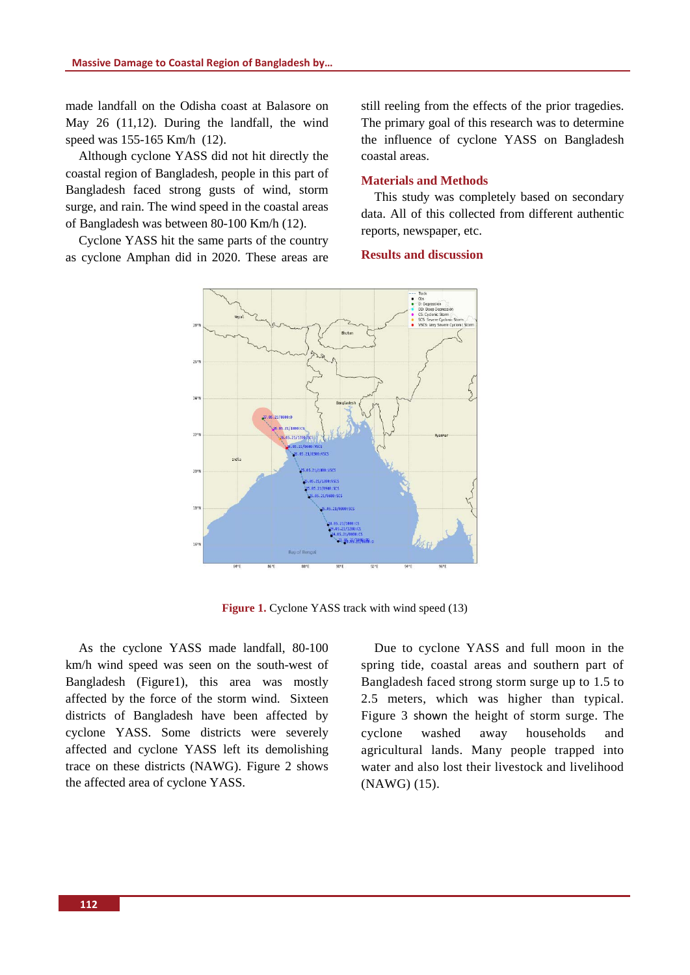made landfall on the Odisha coast at Balasore on May 26 (11,12). During the landfall, the wind speed was 155-165 Km/h (12).

Although cyclone YASS did not hit directly the coastal region of Bangladesh, people in this part of Bangladesh faced strong gusts of wind, storm surge, and rain. The wind speed in the coastal areas of Bangladesh was between 80-100 Km/h (12).

Cyclone YASS hit the same parts of the country as cyclone Amphan did in 2020. These areas are

still reeling from the effects of the prior tragedies. The primary goal of this research was to determine the influence of cyclone YASS on Bangladesh coastal areas.

#### **Materials and Methods**

This study was completely based on secondary data. All of this collected from different authentic reports, newspaper, etc.

#### **Results and discussion**



**Figure 1.** Cyclone YASS track with wind speed (13)

As the cyclone YASS made landfall, 80-100 km/h wind speed was seen on the south-west of Bangladesh (Figure1), this area was mostly affected by the force of the storm wind. Sixteen districts of Bangladesh have been affected by cyclone YASS. Some districts were severely affected and cyclone YASS left its demolishing trace on these districts (NAWG). Figure 2 shows the affected area of cyclone YASS.

Due to cyclone YASS and full moon in the spring tide, coastal areas and southern part of Bangladesh faced strong storm surge up to 1.5 to 2.5 meters, which was higher than typical. Figure 3 shown the height of storm surge. The cyclone washed away households and agricultural lands. Many people trapped into water and also lost their livestock and livelihood (NAWG) (15).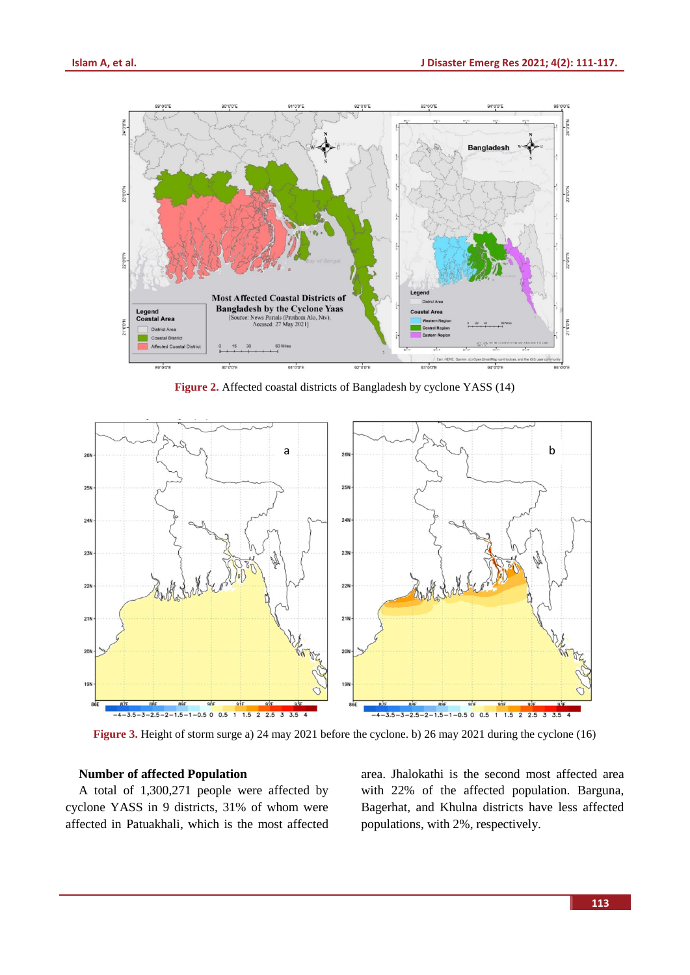

**Figure 2.** Affected coastal districts of Bangladesh by cyclone YASS (14)

![](_page_2_Figure_4.jpeg)

**Figure 3.** Height of storm surge a) 24 may 2021 before the cyclone. b) 26 may 2021 during the cyclone (16)

# **Number of affected Population**

A total of 1,300,271 people were affected by cyclone YASS in 9 districts, 31% of whom were affected in Patuakhali, which is the most affected area. Jhalokathi is the second most affected area with 22% of the affected population. Barguna, Bagerhat, and Khulna districts have less affected populations, with 2%, respectively.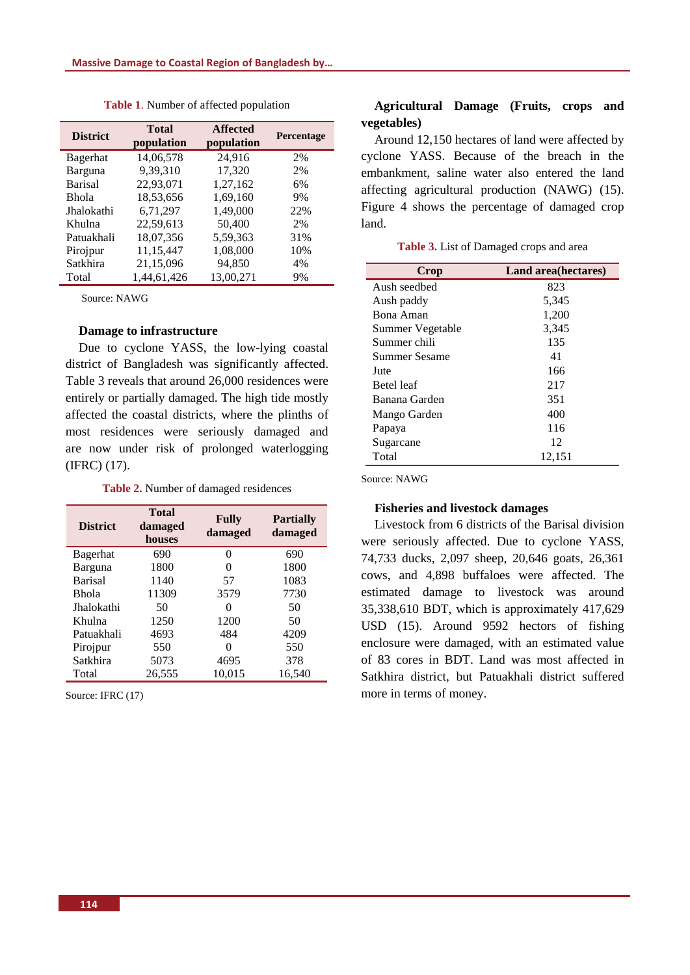| <b>District</b> | <b>Total</b><br>population | <b>Affected</b><br>population | Percentage |
|-----------------|----------------------------|-------------------------------|------------|
| Bagerhat        | 14,06,578                  | 24,916                        | 2%         |
| Barguna         | 9,39,310                   | 17,320                        | 2%         |
| <b>Barisal</b>  | 22,93,071                  | 1,27,162                      | 6%         |
| <b>Bhola</b>    | 18,53,656                  | 1,69,160                      | 9%         |
| Jhalokathi      | 6,71,297                   | 1,49,000                      | 22%        |
| Khulna          | 22,59,613                  | 50,400                        | 2%         |
| Patuakhali      | 18,07,356                  | 5,59,363                      | 31%        |
| Pirojpur        | 11,15,447                  | 1,08,000                      | 10%        |
| Satkhira        | 21,15,096                  | 94.850                        | 4%         |
| Total           | 1,44,61,426                | 13.00.271                     | 9%         |

**Table 1**. Number of affected population

Source: NAWG

#### **Damage to infrastructure**

Due to cyclone YASS, the low-lying coastal district of Bangladesh was significantly affected. Table 3 reveals that around 26,000 residences were entirely or partially damaged. The high tide mostly affected the coastal districts, where the plinths of most residences were seriously damaged and are now under risk of prolonged waterlogging (IFRC) (17).

**Table 2.** Number of damaged residences

| <b>District</b> | <b>Total</b><br>damaged<br>houses | <b>Fully</b><br>damaged | <b>Partially</b><br>damaged |
|-----------------|-----------------------------------|-------------------------|-----------------------------|
| Bagerhat        | 690                               | 0                       | 690                         |
| Barguna         | 1800                              | 0                       | 1800                        |
| <b>Barisal</b>  | 1140                              | 57                      | 1083                        |
| <b>Bhola</b>    | 11309                             | 3579                    | 7730                        |
| Jhalokathi      | 50                                | $\Omega$                | 50                          |
| Khulna          | 1250                              | 1200                    | 50                          |
| Patuakhali      | 4693                              | 484                     | 4209                        |
| Pirojpur        | 550                               | 0                       | 550                         |
| Satkhira        | 5073                              | 4695                    | 378                         |
| Total           | 26,555                            | 10,015                  | 16,540                      |

Source: IFRC (17)

# **Agricultural Damage (Fruits, crops and vegetables)**

Around 12,150 hectares of land were affected by cyclone YASS. Because of the breach in the embankment, saline water also entered the land affecting agricultural production (NAWG) (15). Figure 4 shows the percentage of damaged crop land.

**Table 3.** List of Damaged crops and area

| Crop              | Land area (hectares) |
|-------------------|----------------------|
| Aush seedbed      | 823                  |
| Aush paddy        | 5,345                |
| Bona Aman         | 1,200                |
| Summer Vegetable  | 3,345                |
| Summer chili      | 135                  |
| Summer Sesame     | 41                   |
| Jute              | 166                  |
| <b>Betel</b> leaf | 217                  |
| Banana Garden     | 351                  |
| Mango Garden      | 400                  |
| Papaya            | 116                  |
| Sugarcane         | 12                   |
| Total             | 12,151               |

Source: NAWG

#### **Fisheries and livestock damages**

Livestock from 6 districts of the Barisal division were seriously affected. Due to cyclone YASS, 74,733 ducks, 2,097 sheep, 20,646 goats, 26,361 cows, and 4,898 buffaloes were affected. The estimated damage to livestock was around 35,338,610 BDT, which is approximately 417,629 USD (15). Around 9592 hectors of fishing enclosure were damaged, with an estimated value of 83 cores in BDT. Land was most affected in Satkhira district, but Patuakhali district suffered more in terms of money.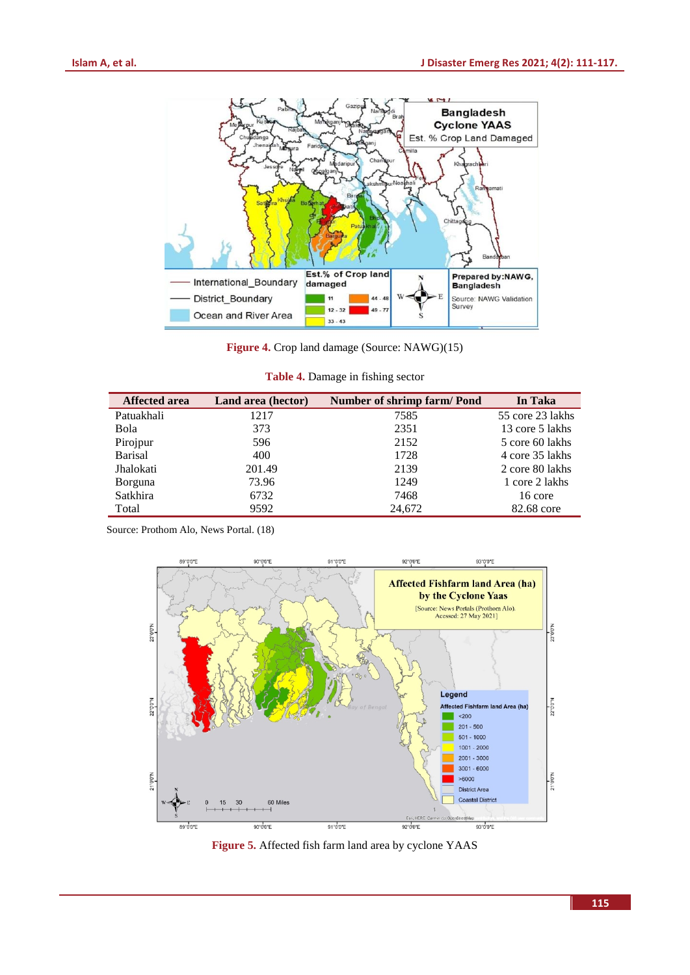![](_page_4_Figure_2.jpeg)

**Figure 4.** Crop land damage (Source: NAWG)(15)

| Table 4. Damage in fishing sector |  |  |
|-----------------------------------|--|--|
|                                   |  |  |

| <b>Affected area</b> | Land area (hector) | Number of shrimp farm/Pond | In Taka          |
|----------------------|--------------------|----------------------------|------------------|
| Patuakhali           | 1217               | 7585                       | 55 core 23 lakhs |
| Bola                 | 373                | 2351                       | 13 core 5 lakhs  |
| Pirojpur             | 596                | 2152                       | 5 core 60 lakhs  |
| <b>Barisal</b>       | 400                | 1728                       | 4 core 35 lakhs  |
| Jhalokati            | 201.49             | 2139                       | 2 core 80 lakhs  |
| <b>Borguna</b>       | 73.96              | 1249                       | 1 core 2 lakhs   |
| Satkhira             | 6732               | 7468                       | 16 core          |
| Total                | 9592               | 24,672                     | 82.68 core       |

Source: Prothom Alo, News Portal. (18)

![](_page_4_Figure_7.jpeg)

**Figure 5.** Affected fish farm land area by cyclone YAAS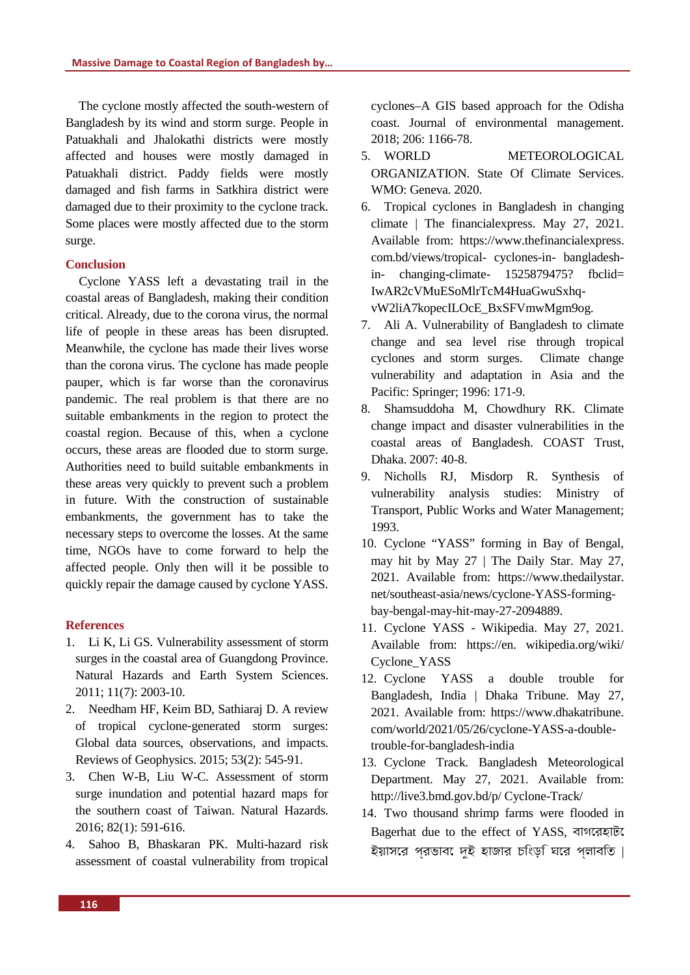The cyclone mostly affected the south-western of Bangladesh by its wind and storm surge. People in Patuakhali and Jhalokathi districts were mostly affected and houses were mostly damaged in Patuakhali district. Paddy fields were mostly damaged and fish farms in Satkhira district were damaged due to their proximity to the cyclone track. Some places were mostly affected due to the storm surge.

# **Conclusion**

Cyclone YASS left a devastating trail in the coastal areas of Bangladesh, making their condition critical. Already, due to the corona virus, the normal life of people in these areas has been disrupted. Meanwhile, the cyclone has made their lives worse than the corona virus. The cyclone has made people pauper, which is far worse than the coronavirus pandemic. The real problem is that there are no suitable embankments in the region to protect the coastal region. Because of this, when a cyclone occurs, these areas are flooded due to storm surge. Authorities need to build suitable embankments in these areas very quickly to prevent such a problem in future. With the construction of sustainable embankments, the government has to take the necessary steps to overcome the losses. At the same time, NGOs have to come forward to help the affected people. Only then will it be possible to quickly repair the damage caused by cyclone YASS.

# **References**

- 1. Li K, Li GS. Vulnerability assessment of storm surges in the coastal area of Guangdong Province. Natural Hazards and Earth System Sciences. 2011; 11(7): 2003-10.
- 2. Needham HF, Keim BD, Sathiaraj D. A review of tropical cyclone‐generated storm surges: Global data sources, observations, and impacts. Reviews of Geophysics. 2015; 53(2): 545-91.
- 3. Chen W-B, Liu W-C. Assessment of storm surge inundation and potential hazard maps for the southern coast of Taiwan. Natural Hazards. 2016; 82(1): 591-616.
- 4. Sahoo B, Bhaskaran PK. Multi-hazard risk assessment of coastal vulnerability from tropical

cyclones–A GIS based approach for the Odisha coast. Journal of environmental management. 2018; 206: 1166-78.

- 5. WORLD METEOROLOGICAL ORGANIZATION. State Of Climate Services. WMO: Geneva. 2020.
- 6. Tropical cyclones in Bangladesh in changing climate | The financialexpress. May 27, 2021. Available from: https://www.thefinancialexpress. com.bd/views/tropical- cyclones-in- bangladeshin- changing-climate- 1525879475? fbclid= IwAR2cVMuESoMlrTcM4HuaGwuSxhqvW2liA7kopecILOcE\_BxSFVmwMgm9og.
- 7. Ali A. Vulnerability of Bangladesh to climate change and sea level rise through tropical cyclones and storm surges. Climate change vulnerability and adaptation in Asia and the Pacific: Springer; 1996: 171-9.
- 8. Shamsuddoha M, Chowdhury RK. Climate change impact and disaster vulnerabilities in the coastal areas of Bangladesh. COAST Trust, Dhaka. 2007: 40-8.
- 9. Nicholls RJ, Misdorp R. Synthesis of vulnerability analysis studies: Ministry of Transport, Public Works and Water Management; 1993.
- 10. Cyclone "YASS" forming in Bay of Bengal, may hit by May 27 | The Daily Star. May 27, 2021. Available from: https://www.thedailystar. net/southeast-asia/news/cyclone-YASS-formingbay-bengal-may-hit-may-27-2094889.
- 11. Cyclone YASS Wikipedia. May 27, 2021. Available from: https://en. wikipedia.org/wiki/ Cyclone\_YASS
- 12. Cyclone YASS a double trouble for Bangladesh, India | Dhaka Tribune. May 27, 2021. Available from: https://www.dhakatribune. com/world/2021/05/26/cyclone-YASS-a-doubletrouble-for-bangladesh-india
- 13. Cyclone Track. Bangladesh Meteorological Department. May 27, 2021. Available from: http://live3.bmd.gov.bd/p/ Cyclone-Track/
- 14. Two thousand shrimp farms were flooded in Bagerhat due to the effect of YASS, বাগেরহাটে ইয়াসের প্রভাবে দুই হাজার চিংড়ি ঘের প্লাবিত |